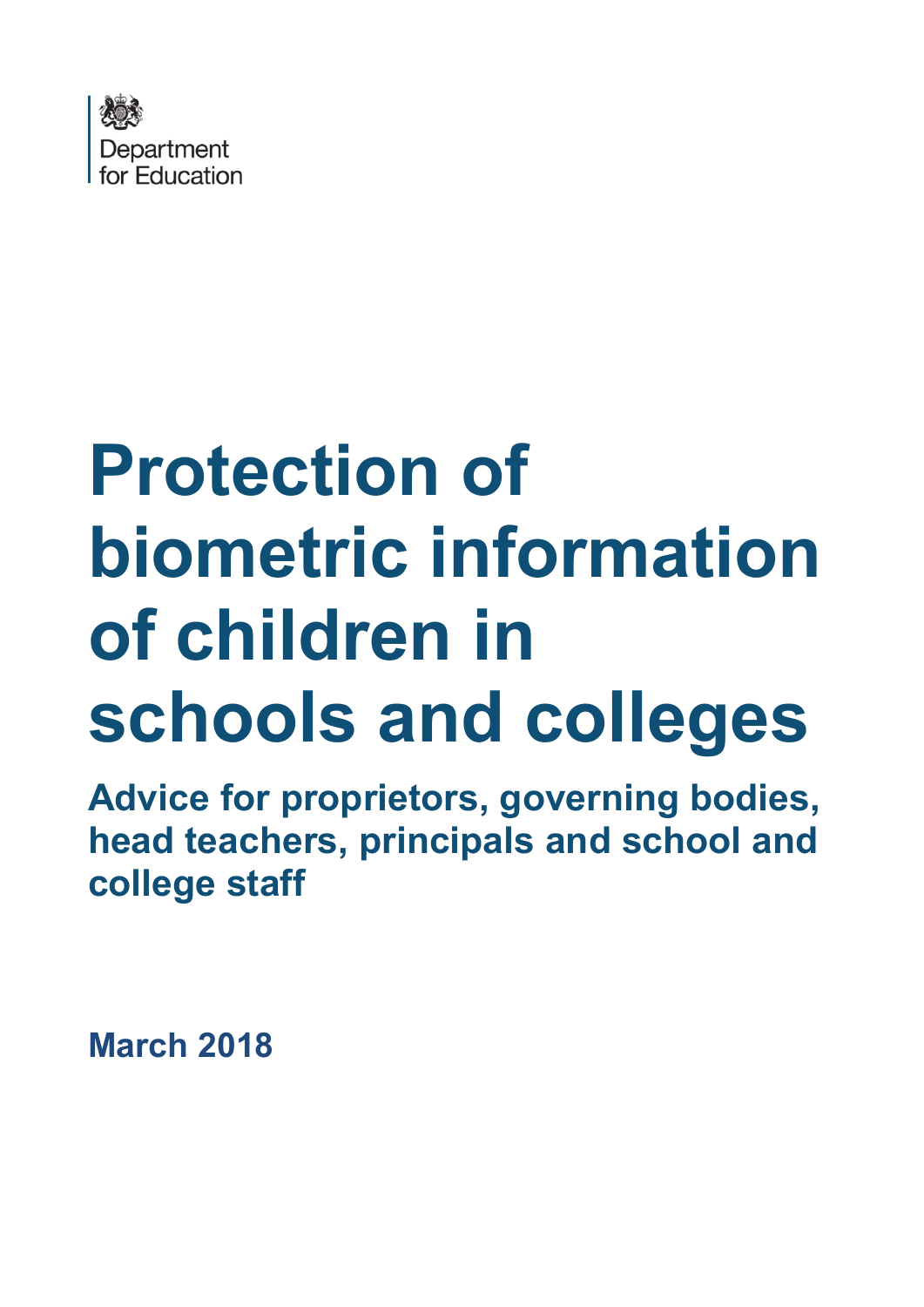

# **Protection of biometric information of children in schools and colleges**

**Advice for proprietors, governing bodies, head teachers, principals and school and college staff**

**March 2018**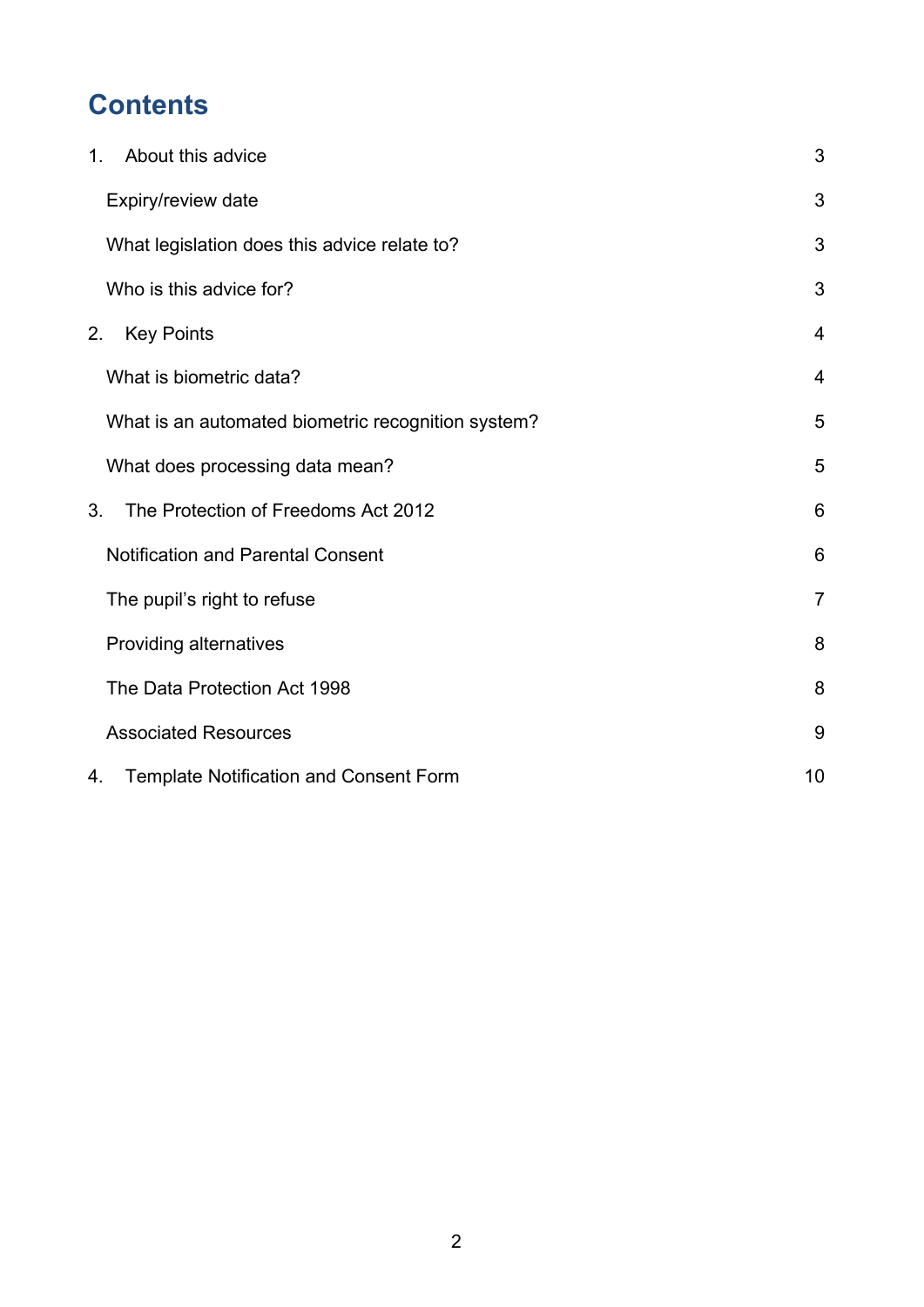# **Contents**

| About this advice<br>1 <sub>1</sub>                 | 3              |
|-----------------------------------------------------|----------------|
| Expiry/review date                                  | 3              |
| What legislation does this advice relate to?        | 3              |
| Who is this advice for?                             | 3              |
| <b>Key Points</b><br>2.                             | $\overline{4}$ |
| What is biometric data?                             | $\overline{4}$ |
| What is an automated biometric recognition system?  | 5              |
| What does processing data mean?                     | 5              |
| The Protection of Freedoms Act 2012<br>3.           | 6              |
| <b>Notification and Parental Consent</b>            | 6              |
| The pupil's right to refuse                         | $\overline{7}$ |
| Providing alternatives                              | 8              |
| The Data Protection Act 1998                        | 8              |
| <b>Associated Resources</b>                         | 9              |
| <b>Template Notification and Consent Form</b><br>4. | 10             |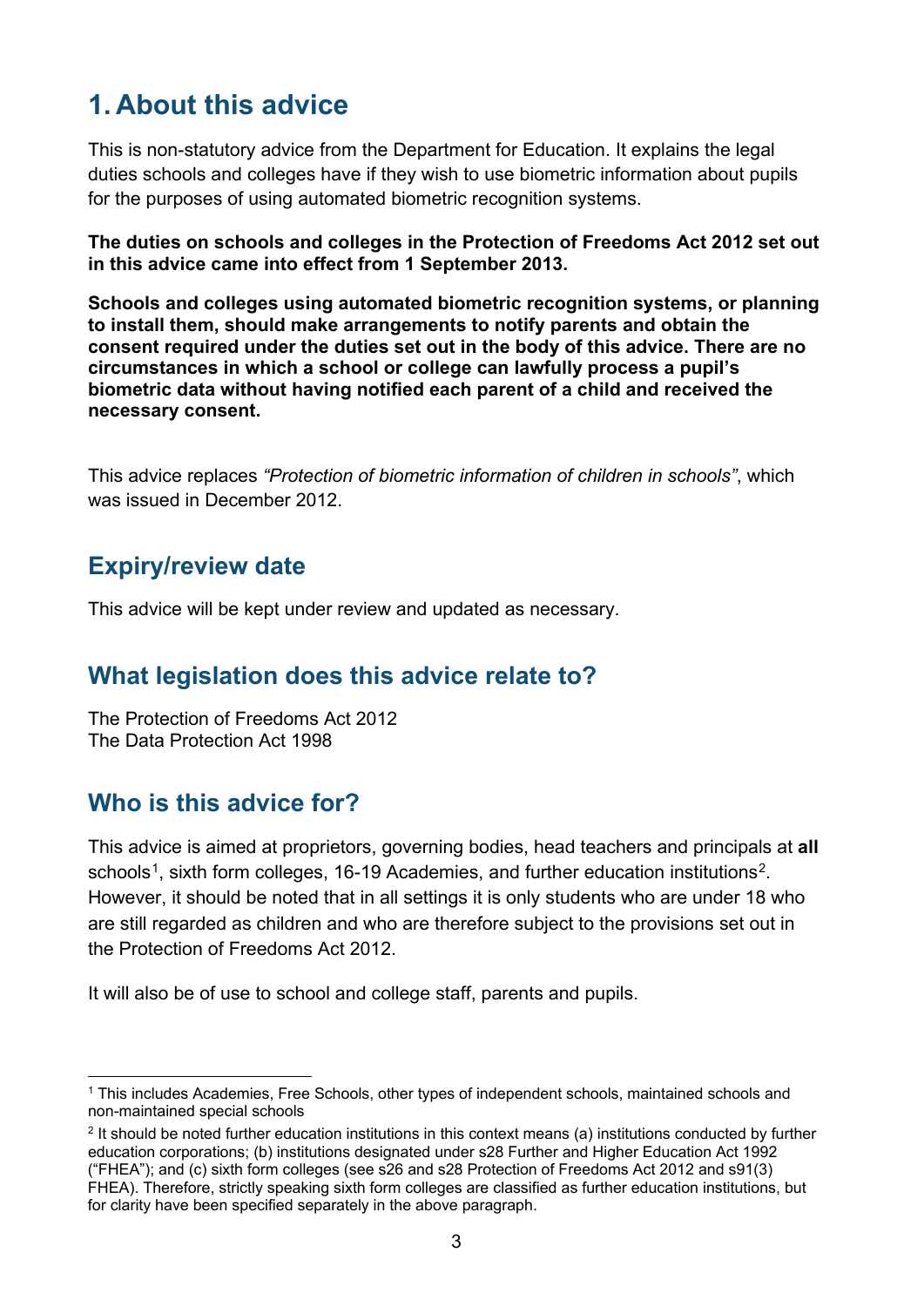# <span id="page-2-0"></span>**1. About this advice**

This is non-statutory advice from the Department for Education. It explains the legal duties schools and colleges have if they wish to use biometric information about pupils for the purposes of using automated biometric recognition systems.

**The duties on schools and colleges in the Protection of Freedoms Act 2012 set out in this advice came into effect from 1 September 2013.** 

**Schools and colleges using automated biometric recognition systems, or planning to install them, should make arrangements to notify parents and obtain the consent required under the duties set out in the body of this advice. There are no circumstances in which a school or college can lawfully process a pupil's biometric data without having notified each parent of a child and received the necessary consent.**

This advice replaces *"Protection of biometric information of children in schools"*, which was issued in December 2012.

## <span id="page-2-1"></span>**Expiry/review date**

This advice will be kept under review and updated as necessary.

## <span id="page-2-2"></span>**What legislation does this advice relate to?**

The Protection of Freedoms Act 2012 The Data Protection Act 1998

## <span id="page-2-3"></span>**Who is this advice for?**

This advice is aimed at proprietors, governing bodies, head teachers and principals at **all**  schools<sup>[1](#page-2-4)</sup>, sixth form colleges, 16-19 Academies, and further education institutions<sup>[2](#page-2-5)</sup>. However, it should be noted that in all settings it is only students who are under 18 who are still regarded as children and who are therefore subject to the provisions set out in the Protection of Freedoms Act 2012.

It will also be of use to school and college staff, parents and pupils.

<span id="page-2-4"></span> <sup>1</sup> This includes Academies, Free Schools, other types of independent schools, maintained schools and non-maintained special schools

<span id="page-2-5"></span><sup>&</sup>lt;sup>2</sup> It should be noted further education institutions in this context means (a) institutions conducted by further education corporations; (b) institutions designated under s28 Further and Higher Education Act 1992 ("FHEA"); and (c) sixth form colleges (see s26 and s28 Protection of Freedoms Act 2012 and s91(3) FHEA). Therefore, strictly speaking sixth form colleges are classified as further education institutions, but for clarity have been specified separately in the above paragraph.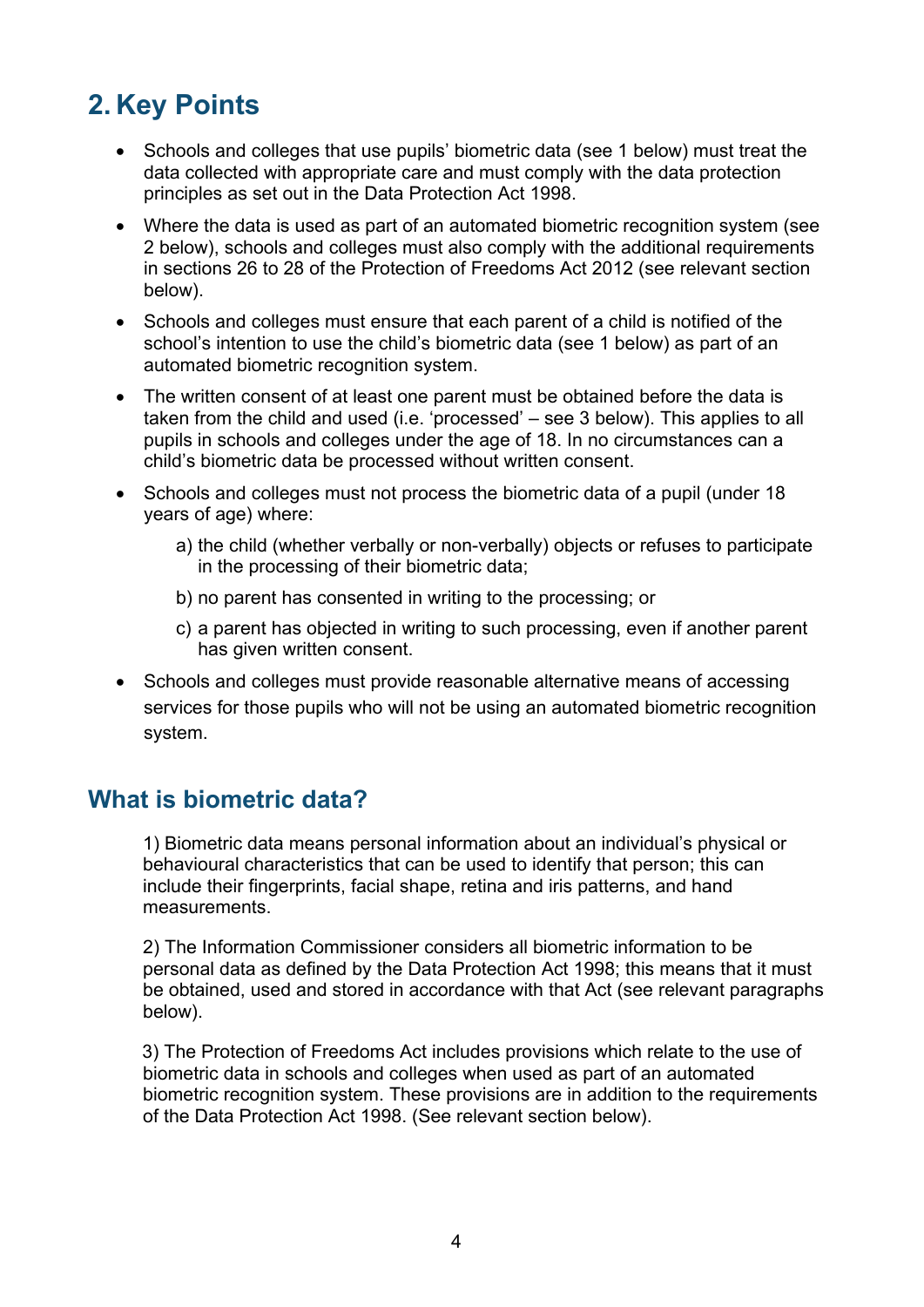# <span id="page-3-0"></span>**2. Key Points**

- Schools and colleges that use pupils' biometric data (see 1 below) must treat the data collected with appropriate care and must comply with the data protection principles as set out in the Data Protection Act 1998.
- Where the data is used as part of an automated biometric recognition system (see 2 below), schools and colleges must also comply with the additional requirements in sections 26 to 28 of the Protection of Freedoms Act 2012 (see relevant section below).
- Schools and colleges must ensure that each parent of a child is notified of the school's intention to use the child's biometric data (see 1 below) as part of an automated biometric recognition system.
- The written consent of at least one parent must be obtained before the data is taken from the child and used (i.e. 'processed' – see 3 below). This applies to all pupils in schools and colleges under the age of 18. In no circumstances can a child's biometric data be processed without written consent.
- Schools and colleges must not process the biometric data of a pupil (under 18 years of age) where:
	- a) the child (whether verbally or non-verbally) objects or refuses to participate in the processing of their biometric data;
	- b) no parent has consented in writing to the processing; or
	- c) a parent has objected in writing to such processing, even if another parent has given written consent.
- Schools and colleges must provide reasonable alternative means of accessing services for those pupils who will not be using an automated biometric recognition system.

## <span id="page-3-1"></span>**What is biometric data?**

1) Biometric data means personal information about an individual's physical or behavioural characteristics that can be used to identify that person; this can include their fingerprints, facial shape, retina and iris patterns, and hand measurements.

2) The Information Commissioner considers all biometric information to be personal data as defined by the Data Protection Act 1998; this means that it must be obtained, used and stored in accordance with that Act (see relevant paragraphs below).

 3) The Protection of Freedoms Act includes provisions which relate to the use of biometric data in schools and colleges when used as part of an automated biometric recognition system. These provisions are in addition to the requirements of the Data Protection Act 1998. (See relevant section below).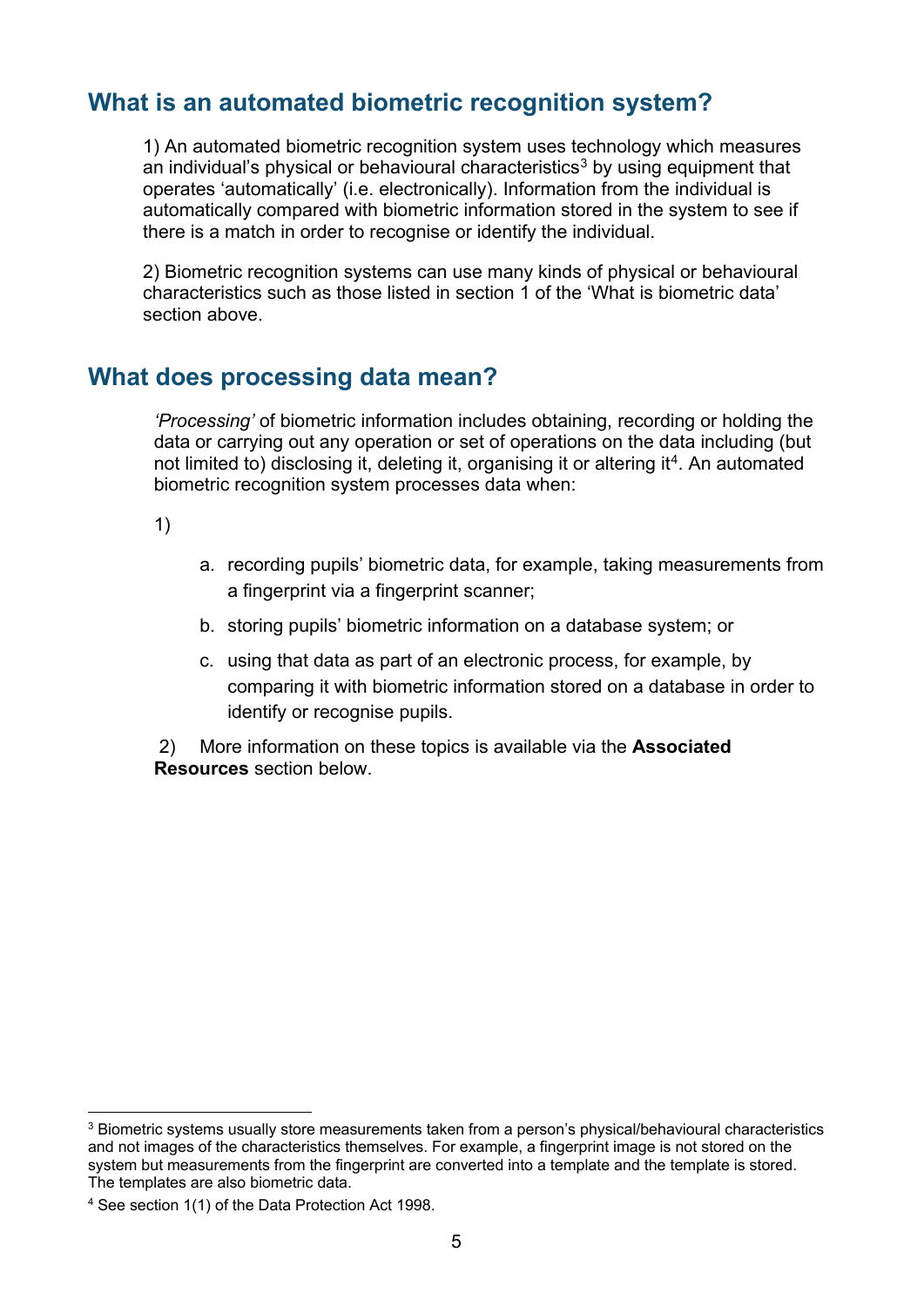## <span id="page-4-0"></span>**What is an automated biometric recognition system?**

1) An automated biometric recognition system uses technology which measures an individual's physical or behavioural characteristics<sup>[3](#page-4-2)</sup> by using equipment that operates 'automatically' (i.e. electronically). Information from the individual is automatically compared with biometric information stored in the system to see if there is a match in order to recognise or identify the individual.

2) Biometric recognition systems can use many kinds of physical or behavioural characteristics such as those listed in section 1 of the 'What is biometric data' section above.

#### <span id="page-4-1"></span>**What does processing data mean?**

*'Processing'* of biometric information includes obtaining, recording or holding the data or carrying out any operation or set of operations on the data including (but not limited to) disclosing it, deleting it, organising it or altering it<sup>[4](#page-4-3)</sup>. An automated biometric recognition system processes data when:

1)

- a. recording pupils' biometric data, for example, taking measurements from a fingerprint via a fingerprint scanner;
- b. storing pupils' biometric information on a database system; or
- c. using that data as part of an electronic process, for example, by comparing it with biometric information stored on a database in order to identify or recognise pupils.

2) More information on these topics is available via the **Associated Resources** section below.

<span id="page-4-2"></span><sup>&</sup>lt;sup>3</sup> Biometric systems usually store measurements taken from a person's physical/behavioural characteristics and not images of the characteristics themselves. For example, a fingerprint image is not stored on the system but measurements from the fingerprint are converted into a template and the template is stored. The templates are also biometric data.

<span id="page-4-3"></span><sup>4</sup> See section 1(1) of the Data Protection Act 1998.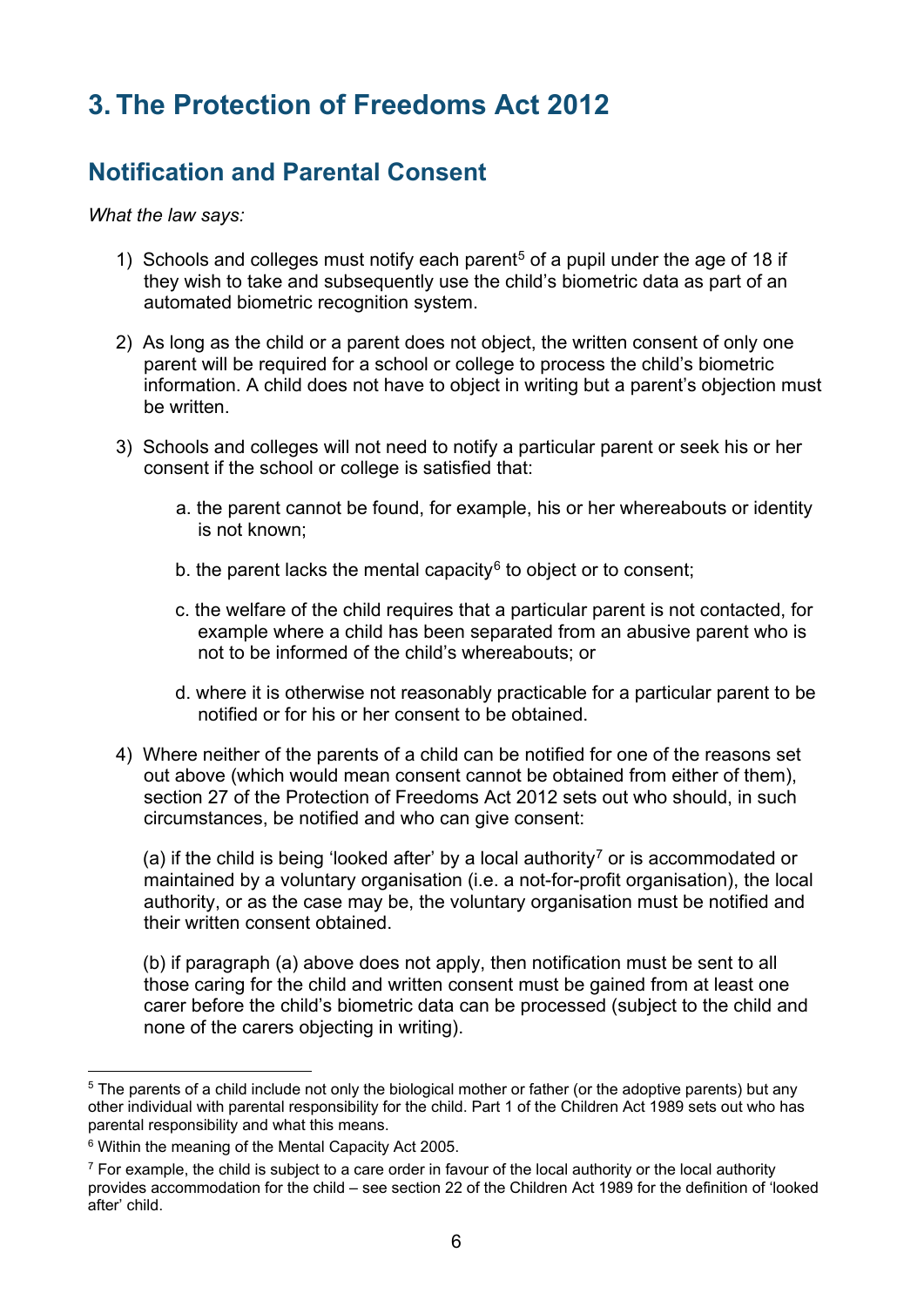# <span id="page-5-0"></span>**3. The Protection of Freedoms Act 2012**

## <span id="page-5-1"></span>**Notification and Parental Consent**

*What the law says:*

- 1) Schools and colleges must notify each parent<sup>[5](#page-5-2)</sup> of a pupil under the age of 18 if they wish to take and subsequently use the child's biometric data as part of an automated biometric recognition system.
- 2) As long as the child or a parent does not object, the written consent of only one parent will be required for a school or college to process the child's biometric information. A child does not have to object in writing but a parent's objection must be written.
- 3) Schools and colleges will not need to notify a particular parent or seek his or her consent if the school or college is satisfied that:
	- a. the parent cannot be found, for example, his or her whereabouts or identity is not known;
	- b. the parent lacks the mental capacity $6$  to object or to consent;
	- c. the welfare of the child requires that a particular parent is not contacted, for example where a child has been separated from an abusive parent who is not to be informed of the child's whereabouts; or
	- d. where it is otherwise not reasonably practicable for a particular parent to be notified or for his or her consent to be obtained.
- 4) Where neither of the parents of a child can be notified for one of the reasons set out above (which would mean consent cannot be obtained from either of them), section 27 of the Protection of Freedoms Act 2012 sets out who should, in such circumstances, be notified and who can give consent:

(a) if the child is being 'looked after' by a local authority<sup>[7](#page-5-4)</sup> or is accommodated or maintained by a voluntary organisation (i.e. a not-for-profit organisation), the local authority, or as the case may be, the voluntary organisation must be notified and their written consent obtained.

(b) if paragraph (a) above does not apply, then notification must be sent to all those caring for the child and written consent must be gained from at least one carer before the child's biometric data can be processed (subject to the child and none of the carers objecting in writing).

<span id="page-5-2"></span><sup>&</sup>lt;sup>5</sup> The parents of a child include not only the biological mother or father (or the adoptive parents) but any other individual with parental responsibility for the child. Part 1 of the Children Act 1989 sets out who has parental responsibility and what this means.

<span id="page-5-3"></span><sup>6</sup> Within the meaning of the Mental Capacity Act 2005.

<span id="page-5-4"></span> $<sup>7</sup>$  For example, the child is subject to a care order in favour of the local authority or the local authority</sup> provides accommodation for the child – see section 22 of the Children Act 1989 for the definition of 'looked after' child.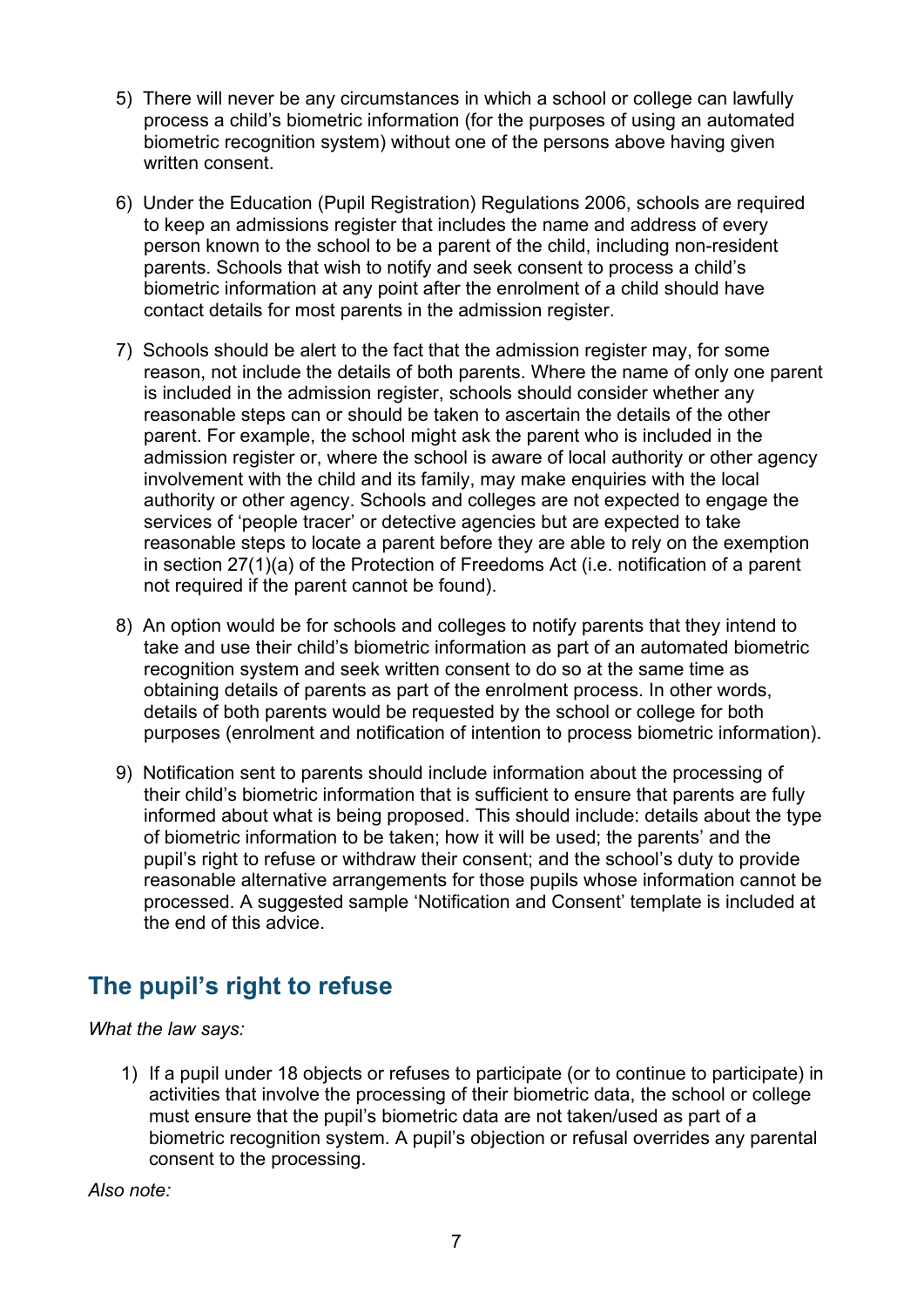- 5) There will never be any circumstances in which a school or college can lawfully process a child's biometric information (for the purposes of using an automated biometric recognition system) without one of the persons above having given written consent.
- 6) Under the Education (Pupil Registration) Regulations 2006, schools are required to keep an admissions register that includes the name and address of every person known to the school to be a parent of the child, including non-resident parents. Schools that wish to notify and seek consent to process a child's biometric information at any point after the enrolment of a child should have contact details for most parents in the admission register.
- 7) Schools should be alert to the fact that the admission register may, for some reason, not include the details of both parents. Where the name of only one parent is included in the admission register, schools should consider whether any reasonable steps can or should be taken to ascertain the details of the other parent. For example, the school might ask the parent who is included in the admission register or, where the school is aware of local authority or other agency involvement with the child and its family, may make enquiries with the local authority or other agency. Schools and colleges are not expected to engage the services of 'people tracer' or detective agencies but are expected to take reasonable steps to locate a parent before they are able to rely on the exemption in section 27(1)(a) of the Protection of Freedoms Act (i.e. notification of a parent not required if the parent cannot be found).
- 8) An option would be for schools and colleges to notify parents that they intend to take and use their child's biometric information as part of an automated biometric recognition system and seek written consent to do so at the same time as obtaining details of parents as part of the enrolment process. In other words, details of both parents would be requested by the school or college for both purposes (enrolment and notification of intention to process biometric information).
- 9) Notification sent to parents should include information about the processing of their child's biometric information that is sufficient to ensure that parents are fully informed about what is being proposed. This should include: details about the type of biometric information to be taken; how it will be used; the parents' and the pupil's right to refuse or withdraw their consent; and the school's duty to provide reasonable alternative arrangements for those pupils whose information cannot be processed. A suggested sample 'Notification and Consent' template is included at the end of this advice.

## <span id="page-6-0"></span>**The pupil's right to refuse**

*What the law says:*

1) If a pupil under 18 objects or refuses to participate (or to continue to participate) in activities that involve the processing of their biometric data, the school or college must ensure that the pupil's biometric data are not taken/used as part of a biometric recognition system. A pupil's objection or refusal overrides any parental consent to the processing.

*Also note:*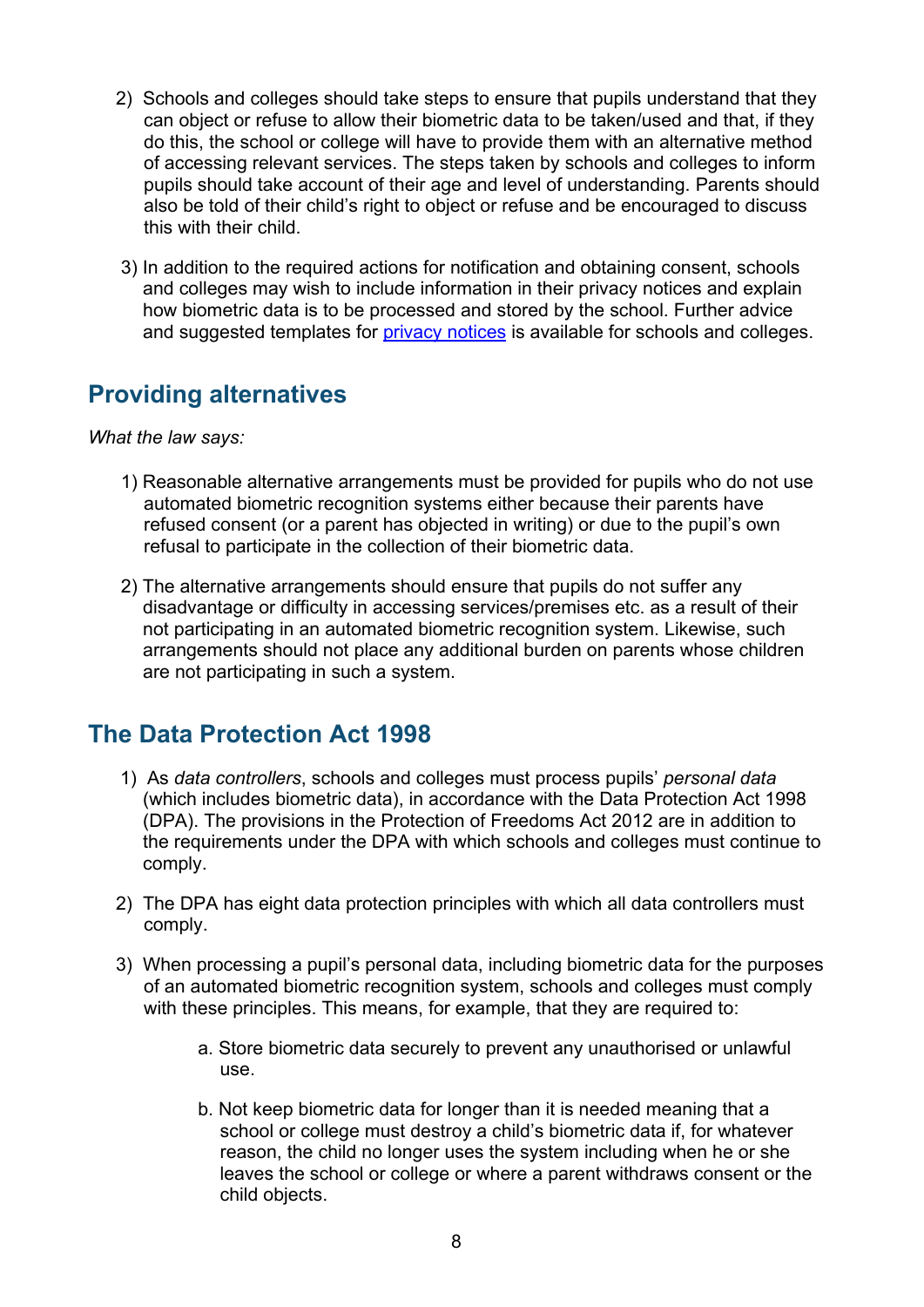- 2) Schools and colleges should take steps to ensure that pupils understand that they can object or refuse to allow their biometric data to be taken/used and that, if they do this, the school or college will have to provide them with an alternative method of accessing relevant services. The steps taken by schools and colleges to inform pupils should take account of their age and level of understanding. Parents should also be told of their child's right to object or refuse and be encouraged to discuss this with their child.
- 3) In addition to the required actions for notification and obtaining consent, schools and colleges may wish to include information in their privacy notices and explain how biometric data is to be processed and stored by the school. Further advice and suggested templates for [privacy notices](https://www.gov.uk/government/publications/data-protection-and-privacy-privacy-notices) is available for schools and colleges.

## <span id="page-7-0"></span>**Providing alternatives**

*What the law says:*

- 1) Reasonable alternative arrangements must be provided for pupils who do not use automated biometric recognition systems either because their parents have refused consent (or a parent has objected in writing) or due to the pupil's own refusal to participate in the collection of their biometric data.
- 2) The alternative arrangements should ensure that pupils do not suffer any disadvantage or difficulty in accessing services/premises etc. as a result of their not participating in an automated biometric recognition system. Likewise, such arrangements should not place any additional burden on parents whose children are not participating in such a system.

## <span id="page-7-1"></span>**The Data Protection Act 1998**

- 1) As *data controllers*, schools and colleges must process pupils' *personal data* (which includes biometric data), in accordance with the Data Protection Act 1998 (DPA). The provisions in the Protection of Freedoms Act 2012 are in addition to the requirements under the DPA with which schools and colleges must continue to comply.
- 2) The DPA has eight data protection principles with which all data controllers must comply.
- 3) When processing a pupil's personal data, including biometric data for the purposes of an automated biometric recognition system, schools and colleges must comply with these principles. This means, for example, that they are required to:
	- a. Store biometric data securely to prevent any unauthorised or unlawful use.
	- b. Not keep biometric data for longer than it is needed meaning that a school or college must destroy a child's biometric data if, for whatever reason, the child no longer uses the system including when he or she leaves the school or college or where a parent withdraws consent or the child objects.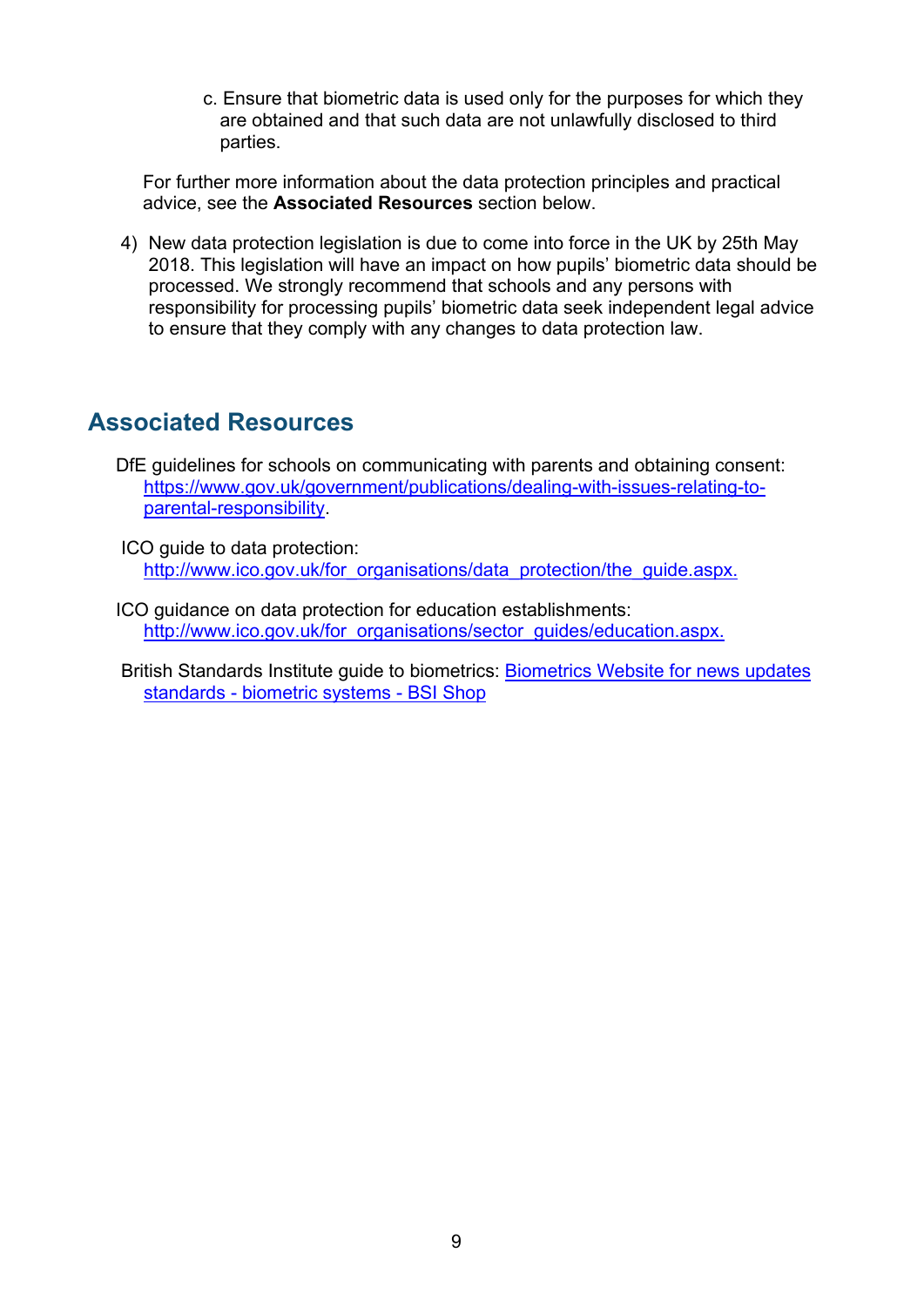c. Ensure that biometric data is used only for the purposes for which they are obtained and that such data are not unlawfully disclosed to third parties.

For further more information about the data protection principles and practical advice, see the **Associated Resources** section below.

4) New data protection legislation is due to come into force in the UK by 25th May 2018. This legislation will have an impact on how pupils' biometric data should be processed. We strongly recommend that schools and any persons with responsibility for processing pupils' biometric data seek independent legal advice to ensure that they comply with any changes to data protection law.

#### <span id="page-8-0"></span>**Associated Resources**

- DfE guidelines for schools on communicating with parents and obtaining consent: [https://www.gov.uk/government/publications/dealing-with-issues-relating-to](https://www.gov.uk/government/publications/dealing-with-issues-relating-to-parental-responsibility)[parental-responsibility.](https://www.gov.uk/government/publications/dealing-with-issues-relating-to-parental-responsibility)
- ICO guide to data protection: [http://www.ico.gov.uk/for\\_organisations/data\\_protection/the\\_guide.aspx.](https://ico.org.uk/for-organisations/guide-to-data-protection/)
- ICO guidance on data protection for education establishments: [http://www.ico.gov.uk/for\\_organisations/sector\\_guides/education.aspx.](https://ico.org.uk/for-organisations/education/)

British Standards Institute guide to biometrics: [Biometrics Website for news updates](http://shop.bsigroup.com/Browse-by-Subject/Biometrics/?t=r)  standards - [biometric systems -](http://shop.bsigroup.com/Browse-by-Subject/Biometrics/?t=r) BSI Shop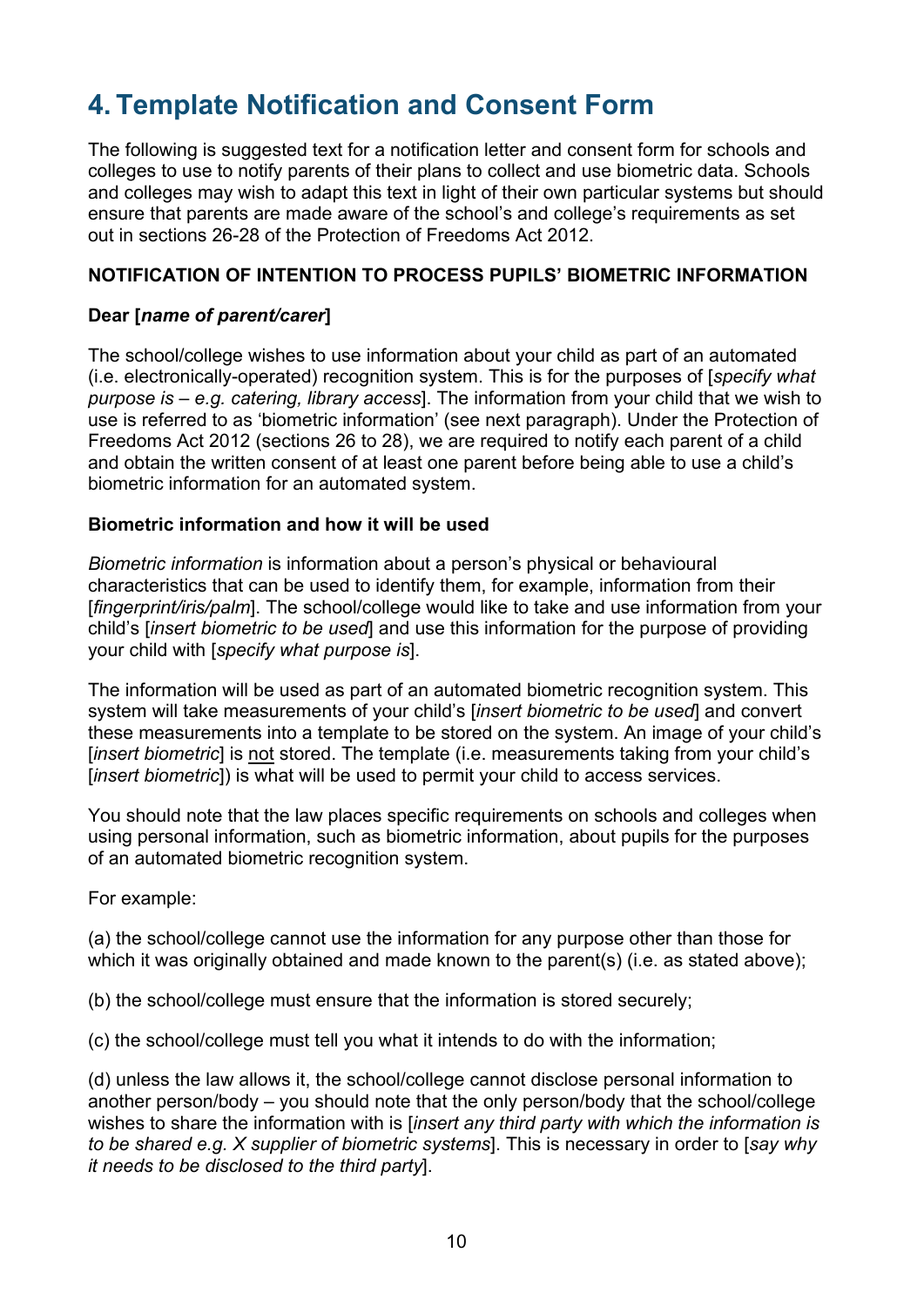# <span id="page-9-0"></span>**4. Template Notification and Consent Form**

The following is suggested text for a notification letter and consent form for schools and colleges to use to notify parents of their plans to collect and use biometric data. Schools and colleges may wish to adapt this text in light of their own particular systems but should ensure that parents are made aware of the school's and college's requirements as set out in sections 26-28 of the Protection of Freedoms Act 2012.

#### **NOTIFICATION OF INTENTION TO PROCESS PUPILS' BIOMETRIC INFORMATION**

#### **Dear [***name of parent/carer***]**

The school/college wishes to use information about your child as part of an automated (i.e. electronically-operated) recognition system. This is for the purposes of [*specify what purpose is – e.g. catering, library access*]. The information from your child that we wish to use is referred to as 'biometric information' (see next paragraph). Under the Protection of Freedoms Act 2012 (sections 26 to 28), we are required to notify each parent of a child and obtain the written consent of at least one parent before being able to use a child's biometric information for an automated system.

#### **Biometric information and how it will be used**

*Biometric information* is information about a person's physical or behavioural characteristics that can be used to identify them, for example, information from their [*fingerprint/iris/palm*]. The school/college would like to take and use information from your child's [*insert biometric to be used*] and use this information for the purpose of providing your child with [*specify what purpose is*].

The information will be used as part of an automated biometric recognition system. This system will take measurements of your child's [*insert biometric to be used*] and convert these measurements into a template to be stored on the system. An image of your child's [*insert biometric*] is not stored. The template (i.e. measurements taking from your child's [*insert biometric*]) is what will be used to permit your child to access services.

You should note that the law places specific requirements on schools and colleges when using personal information, such as biometric information, about pupils for the purposes of an automated biometric recognition system.

For example:

(a) the school/college cannot use the information for any purpose other than those for which it was originally obtained and made known to the parent(s) (i.e. as stated above):

(b) the school/college must ensure that the information is stored securely;

(c) the school/college must tell you what it intends to do with the information;

(d) unless the law allows it, the school/college cannot disclose personal information to another person/body – you should note that the only person/body that the school/college wishes to share the information with is [*insert any third party with which the information is to be shared e.g. X supplier of biometric systems*]. This is necessary in order to [*say why it needs to be disclosed to the third party*].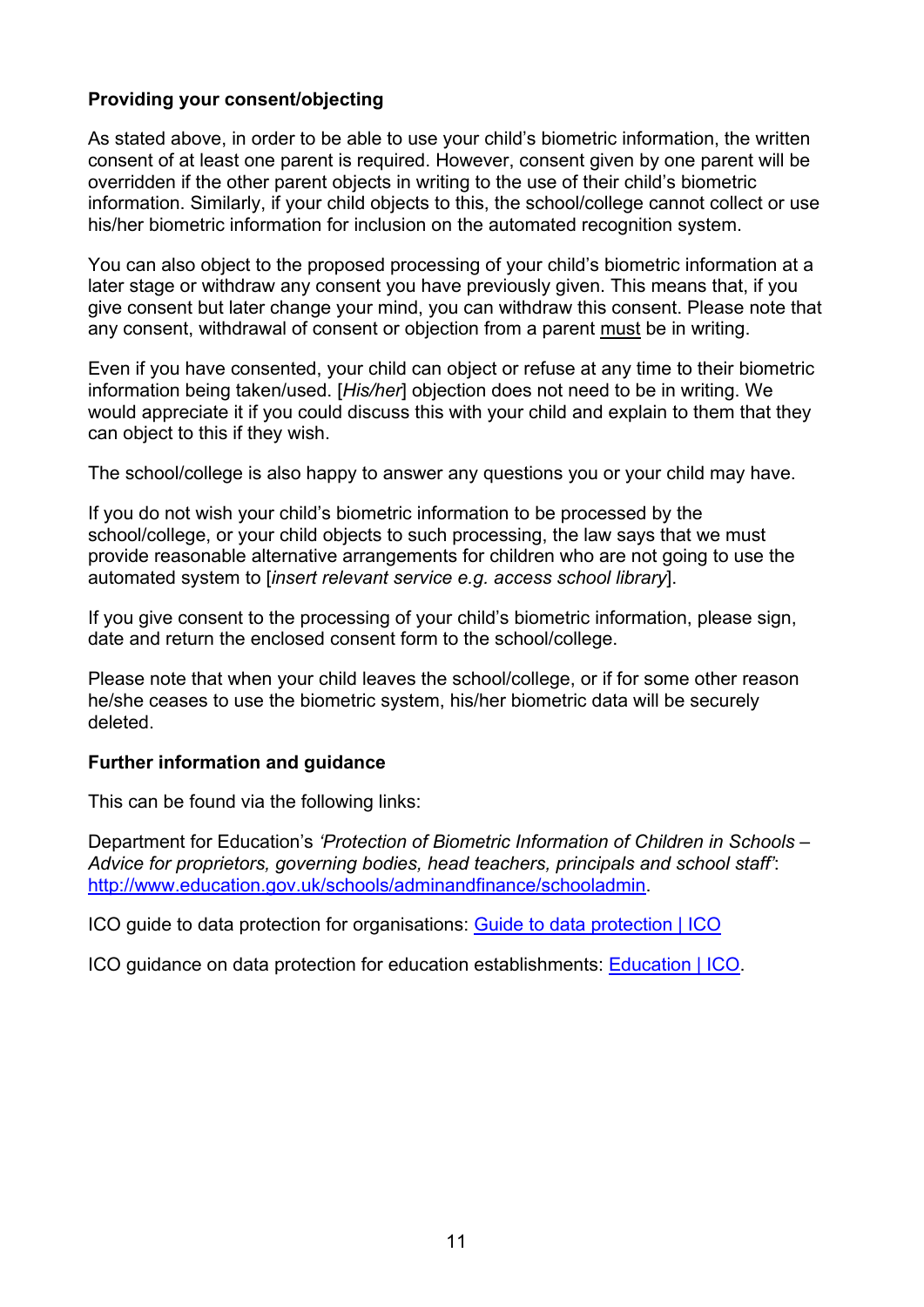#### **Providing your consent/objecting**

As stated above, in order to be able to use your child's biometric information, the written consent of at least one parent is required. However, consent given by one parent will be overridden if the other parent objects in writing to the use of their child's biometric information. Similarly, if your child objects to this, the school/college cannot collect or use his/her biometric information for inclusion on the automated recognition system.

You can also object to the proposed processing of your child's biometric information at a later stage or withdraw any consent you have previously given. This means that, if you give consent but later change your mind, you can withdraw this consent. Please note that any consent, withdrawal of consent or objection from a parent must be in writing.

Even if you have consented, your child can object or refuse at any time to their biometric information being taken/used. [*His/her*] objection does not need to be in writing. We would appreciate it if you could discuss this with your child and explain to them that they can object to this if they wish.

The school/college is also happy to answer any questions you or your child may have.

If you do not wish your child's biometric information to be processed by the school/college, or your child objects to such processing, the law says that we must provide reasonable alternative arrangements for children who are not going to use the automated system to [*insert relevant service e.g. access school library*].

If you give consent to the processing of your child's biometric information, please sign, date and return the enclosed consent form to the school/college.

Please note that when your child leaves the school/college, or if for some other reason he/she ceases to use the biometric system, his/her biometric data will be securely deleted.

#### **Further information and guidance**

This can be found via the following links:

Department for Education's *'Protection of Biometric Information of Children in Schools – Advice for proprietors, governing bodies, head teachers, principals and school staff'*: [http://www.education.gov.uk/schools/adminandfinance/schooladmin.](http://www.education.gov.uk/schools/adminandfinance/schooladmin)

ICO guide to data protection for organisations: [Guide to data protection | ICO](https://ico.org.uk/for-organisations/guide-to-data-protection/)

ICO guidance on data protection for education establishments: [Education | ICO.](https://ico.org.uk/for-organisations/education/)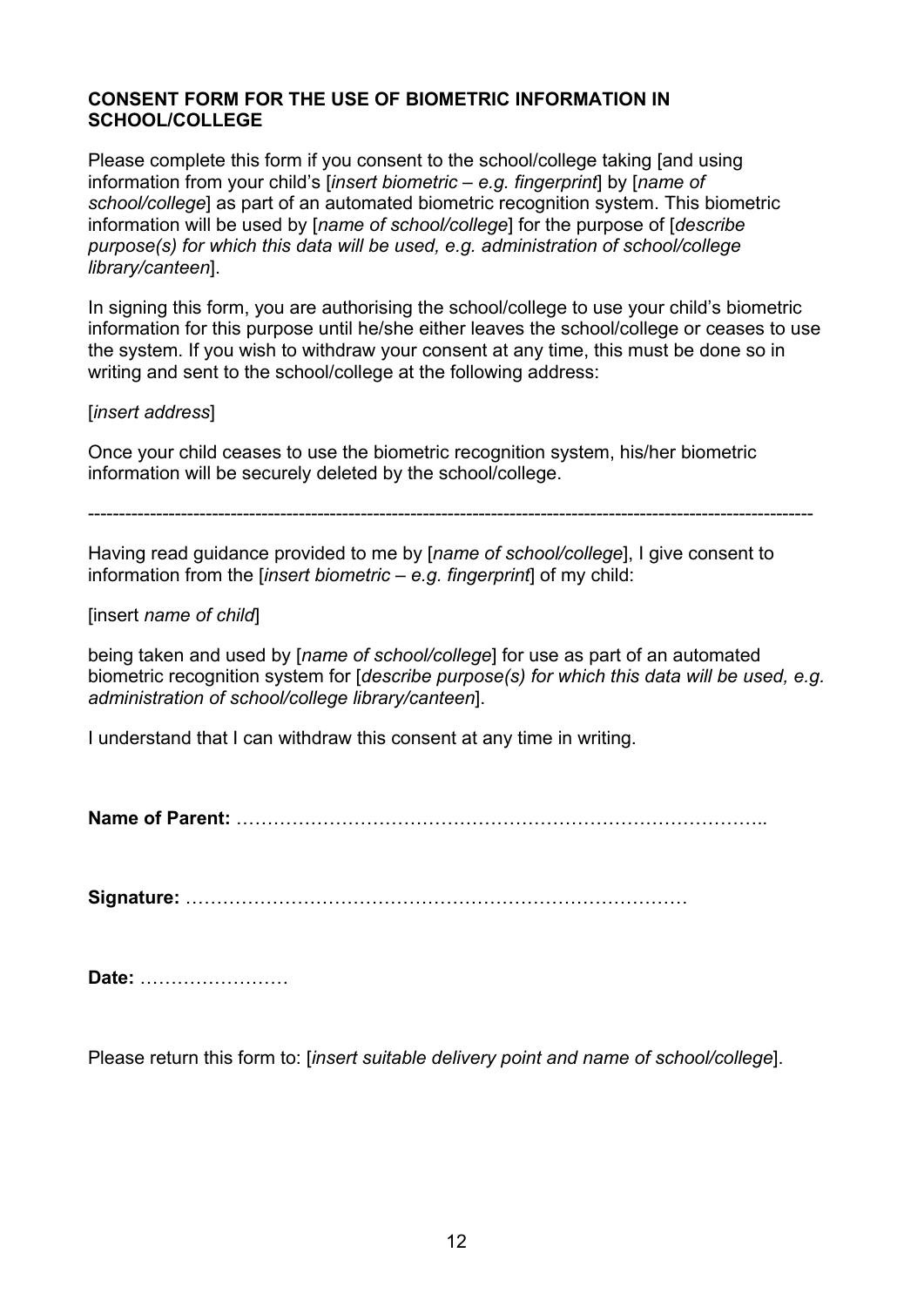#### **CONSENT FORM FOR THE USE OF BIOMETRIC INFORMATION IN SCHOOL/COLLEGE**

Please complete this form if you consent to the school/college taking [and using information from your child's [*insert biometric – e.g. fingerprint*] by [*name of school/college*] as part of an automated biometric recognition system. This biometric information will be used by [*name of school/college*] for the purpose of [*describe purpose(s) for which this data will be used, e.g. administration of school/college library/canteen*].

In signing this form, you are authorising the school/college to use your child's biometric information for this purpose until he/she either leaves the school/college or ceases to use the system. If you wish to withdraw your consent at any time, this must be done so in writing and sent to the school/college at the following address:

[*insert address*]

Once your child ceases to use the biometric recognition system, his/her biometric information will be securely deleted by the school/college.

---------------------------------------------------------------------------------------------------------------------

Having read guidance provided to me by [*name of school/college*], I give consent to information from the [*insert biometric – e.g. fingerprint*] of my child:

[insert *name of child*]

being taken and used by [*name of school/college*] for use as part of an automated biometric recognition system for [*describe purpose(s) for which this data will be used, e.g. administration of school/college library/canteen*].

I understand that I can withdraw this consent at any time in writing.

**Name of Parent:** …………………………………………………………………………..

**Signature:** ………………………………………………………………………

**Date:** ……………………

Please return this form to: [*insert suitable delivery point and name of school/college*].